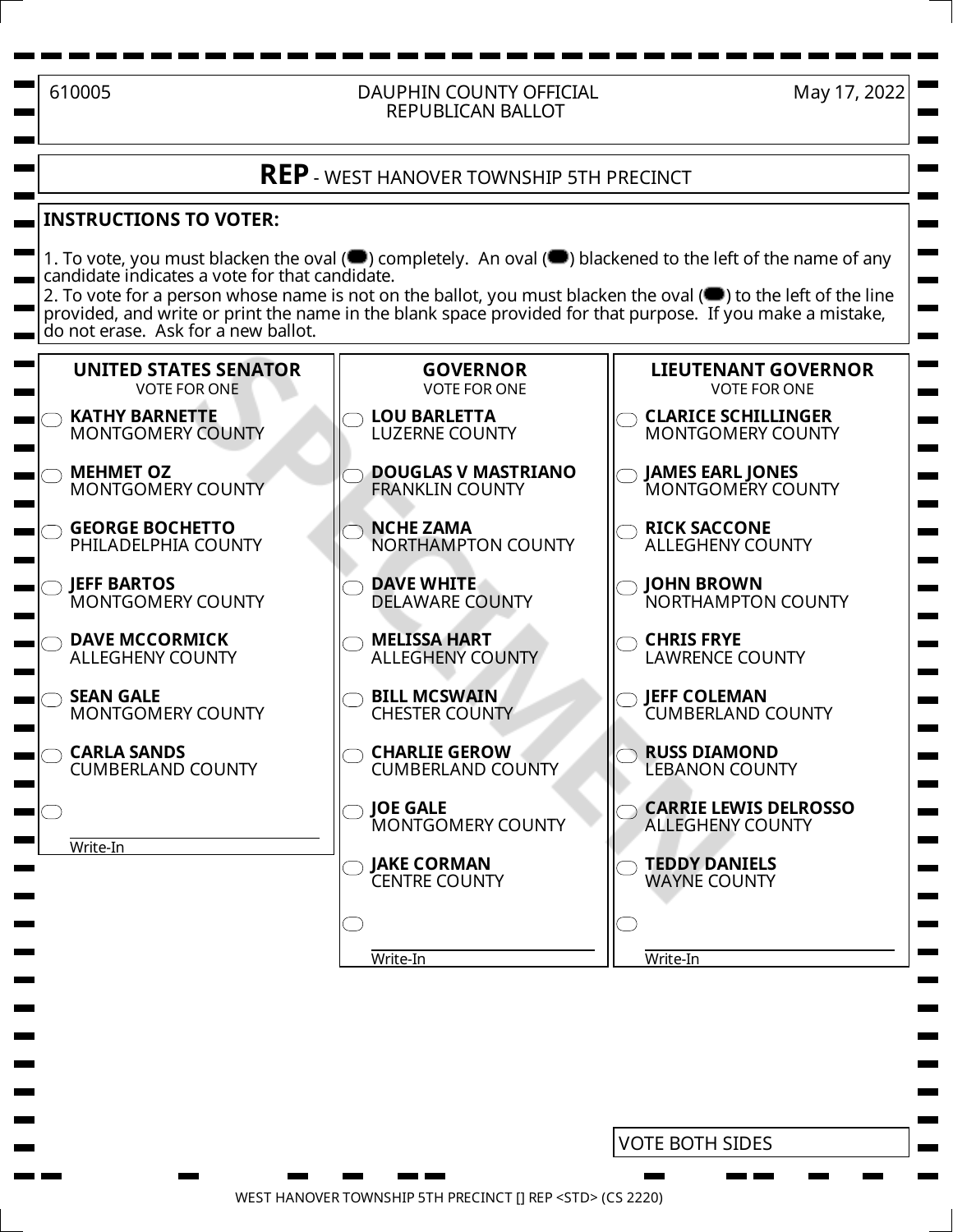## 610005 DAUPHIN COUNTY OFFICIAL REPUBLICAN BALLOT

May 17, 2022

## **REP**- WEST HANOVER TOWNSHIP 5TH PRECINCT

## **INSTRUCTIONS TO VOTER:**

1. To vote, you must blacken the oval ( $\blacksquare$ ) completely. An oval ( $\blacksquare$ ) blackened to the left of the name of any candidate indicates a vote for that candidate.

2. To vote for a person whose name is not on the ballot, you must blacken the oval  $($ **)** to the left of the line provided, and write or print the name in the blank space provided for that purpose. If you make a mistake, do not erase. Ask for a new ballot.